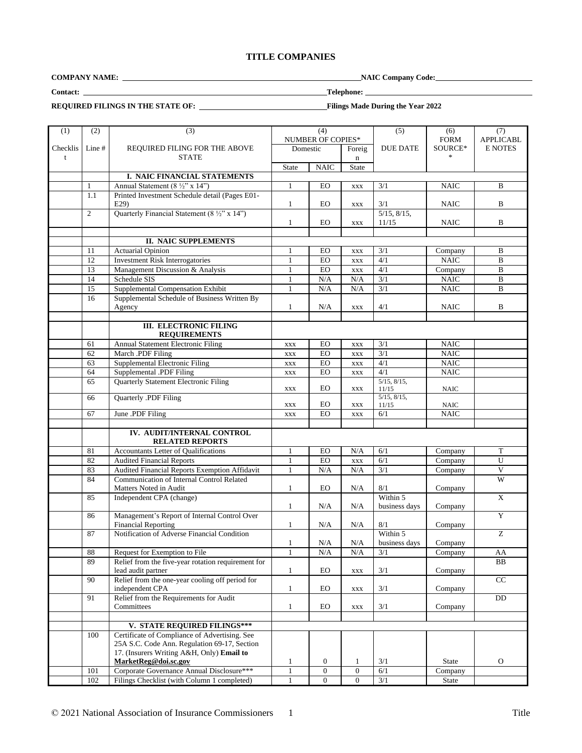# **TITLE COMPANIES**

**COMPANY NAME: NAIC Company Code:** 

**Contact: Telephone:** 

**REQUIRED FILINGS IN THE STATE OF: Filings Made During the Year 2022**

| (1)      | (2)                            | (3)                                                                      | (4)                      |                  | (5)              | (6)               | (7)              |                       |
|----------|--------------------------------|--------------------------------------------------------------------------|--------------------------|------------------|------------------|-------------------|------------------|-----------------------|
|          |                                |                                                                          | <b>NUMBER OF COPIES*</b> |                  |                  | <b>FORM</b>       | <b>APPLICABL</b> |                       |
| Checklis | Line #                         | REQUIRED FILING FOR THE ABOVE                                            | Domestic                 |                  | Foreig           | <b>DUE DATE</b>   | SOURCE*          | <b>E NOTES</b>        |
| t        |                                | <b>STATE</b>                                                             |                          |                  | $\mathbf n$      |                   |                  |                       |
|          |                                |                                                                          | <b>State</b>             | <b>NAIC</b>      | <b>State</b>     |                   |                  |                       |
|          |                                | I. NAIC FINANCIAL STATEMENTS                                             |                          |                  |                  |                   |                  |                       |
|          | $\mathbf{1}$                   | Annual Statement (8 1/2" x 14")                                          | $\mathbf{1}$             | EO               | <b>XXX</b>       | 3/1               | <b>NAIC</b>      | B                     |
|          | 1.1                            | Printed Investment Schedule detail (Pages E01-                           |                          |                  |                  |                   |                  |                       |
|          |                                | E29                                                                      | 1                        | EO               | <b>XXX</b>       | 3/1               | <b>NAIC</b>      | B                     |
|          | 2                              | Quarterly Financial Statement $(8 \frac{1}{2} x 14^x)$                   |                          |                  |                  | 5/15, 8/15,       |                  |                       |
|          |                                |                                                                          | $\mathbf{1}$             | EO               | <b>XXX</b>       | 11/15             | <b>NAIC</b>      | B                     |
|          |                                |                                                                          |                          |                  |                  |                   |                  |                       |
|          |                                | <b>II. NAIC SUPPLEMENTS</b>                                              |                          |                  |                  |                   |                  |                       |
|          | <b>Actuarial Opinion</b><br>11 |                                                                          | 1                        | EO               | <b>XXX</b>       | 3/1               | Company          | B                     |
|          | 12                             | <b>Investment Risk Interrogatories</b>                                   | $\mathbf{1}$             | EO               | $\mathbf{XXX}$   | 4/1               | <b>NAIC</b>      | $\overline{B}$        |
|          | 13                             | Management Discussion & Analysis                                         | $\mathbf{1}$             | EO               | $\mathbf{XXX}$   | $\overline{4/1}$  | Company          | B                     |
|          | 14                             | Schedule SIS                                                             | 1                        | N/A              | N/A              | 3/1               | <b>NAIC</b>      | $\, {\bf B}$          |
|          | 15                             | Supplemental Compensation Exhibit                                        | $\mathbf{1}$             | N/A              | N/A              | $\overline{3/1}$  | <b>NAIC</b>      | $\bf{B}$              |
|          | 16                             | Supplemental Schedule of Business Written By                             |                          |                  |                  |                   |                  |                       |
|          |                                | Agency                                                                   | $\mathbf{1}$             | N/A              | <b>XXX</b>       | 4/1               | <b>NAIC</b>      | B                     |
|          |                                |                                                                          |                          |                  |                  |                   |                  |                       |
|          |                                | <b>III. ELECTRONIC FILING</b>                                            |                          |                  |                  |                   |                  |                       |
|          |                                | <b>REQUIREMENTS</b>                                                      |                          |                  |                  |                   |                  |                       |
|          | 61                             | <b>Annual Statement Electronic Filing</b>                                | <b>XXX</b>               | EO               | <b>XXX</b>       | 3/1               | <b>NAIC</b>      |                       |
|          | 62                             | March .PDF Filing                                                        | <b>XXX</b>               | EO               | $\mathbf{XXX}$   | 3/1               | <b>NAIC</b>      |                       |
|          | 63                             | Supplemental Electronic Filing                                           | <b>XXX</b>               | EO               | $\mathbf{XXX}$   | 4/1               | <b>NAIC</b>      |                       |
|          | 64                             | Supplemental .PDF Filing                                                 | <b>XXX</b>               | EO               | <b>XXX</b>       | $\overline{4/1}$  | <b>NAIC</b>      |                       |
|          | 65                             | <b>Quarterly Statement Electronic Filing</b>                             |                          |                  |                  | $5/15$ , $8/15$ , |                  |                       |
|          |                                |                                                                          | $\mathbf{XXX}$           | EO               | <b>XXX</b>       | 11/15             | <b>NAIC</b>      |                       |
|          | 66                             | Quarterly .PDF Filing                                                    |                          |                  |                  | $5/15$ , $8/15$ , |                  |                       |
|          |                                |                                                                          | $\mathbf{XXX}$           | EO               | <b>XXX</b>       | 11/15             | <b>NAIC</b>      |                       |
|          | 67                             | June .PDF Filing                                                         | <b>XXX</b>               | EO               | <b>XXX</b>       | 6/1               | <b>NAIC</b>      |                       |
|          |                                |                                                                          |                          |                  |                  |                   |                  |                       |
|          |                                | IV. AUDIT/INTERNAL CONTROL                                               |                          |                  |                  |                   |                  |                       |
|          |                                | <b>RELATED REPORTS</b>                                                   |                          |                  |                  |                   |                  |                       |
|          | 81                             | Accountants Letter of Qualifications                                     | 1                        | EO               | N/A              | 6/1               | Company          | T                     |
|          | 82                             | <b>Audited Financial Reports</b>                                         | $\mathbf{1}$             | <b>EO</b>        | $\mathbf{XXX}$   | 6/1               | Company          | U                     |
|          | 83                             | Audited Financial Reports Exemption Affidavit                            | $\mathbf{1}$             | N/A              | N/A              | 3/1               | Company          | $\overline{\text{V}}$ |
|          |                                | <b>Communication of Internal Control Related</b><br>84                   |                          |                  |                  |                   |                  | W                     |
|          |                                | Matters Noted in Audit                                                   | $\mathbf{1}$             | EO               | N/A              | 8/1               | Company          |                       |
|          | 85                             | Independent CPA (change)                                                 |                          |                  |                  | Within 5          |                  | $\mathbf X$           |
|          |                                |                                                                          | 1                        | N/A              | N/A              | business days     | Company          |                       |
|          | 86                             | Management's Report of Internal Control Over                             |                          |                  |                  |                   |                  | $\overline{Y}$        |
|          |                                | <b>Financial Reporting</b>                                               | $\mathbf{1}$             | N/A              | N/A              | 8/1               | Company          |                       |
|          | 87                             | Notification of Adverse Financial Condition                              |                          |                  |                  | Within 5          |                  | Ζ                     |
|          |                                |                                                                          | 1                        | N/A              | N/A              | business days     | Company          |                       |
|          | 88                             | Request for Exemption to File                                            | $\perp$                  | N/A              | N/A              | 3/1               | Company          | AA                    |
|          | 89                             | Relief from the five-year rotation requirement for<br>lead audit partner | $\mathbf{1}$             | EO               |                  | 3/1               | Company          | BB                    |
|          |                                | Relief from the one-year cooling off period for                          |                          |                  | $\mathbf{XXX}$   |                   |                  |                       |
|          | 90                             | independent CPA                                                          | $\mathbf{1}$             | EO               | $\mathbf{XXX}$   | 3/1               | Company          | CC                    |
|          |                                | Relief from the Requirements for Audit                                   |                          |                  |                  |                   |                  |                       |
|          | 91                             | Committees                                                               | $\mathbf{1}$             | EO               |                  | 3/1               | Company          | DD                    |
|          |                                |                                                                          |                          |                  | $\mathbf{XXX}$   |                   |                  |                       |
|          |                                | V. STATE REQUIRED FILINGS***                                             |                          |                  |                  |                   |                  |                       |
|          | 100                            | Certificate of Compliance of Advertising. See                            |                          |                  |                  |                   |                  |                       |
|          |                                | 25A S.C. Code Ann. Regulation 69-17, Section                             |                          |                  |                  |                   |                  |                       |
|          |                                | 17. (Insurers Writing A&H, Only) Email to                                |                          |                  |                  |                   |                  |                       |
|          |                                | MarketReg@doi.sc.gov                                                     | $\mathbf{1}$             | $\boldsymbol{0}$ | $\mathbf{1}$     | 3/1               | State            | $\mathbf{O}$          |
|          | 101                            | Corporate Governance Annual Disclosure***                                | $\mathbf{1}$             | $\overline{0}$   | $\boldsymbol{0}$ | 6/1               | Company          |                       |
|          | 102                            | Filings Checklist (with Column 1 completed)                              | $\mathbf{1}$             | $\overline{0}$   | $\overline{0}$   | 3/1               | State            |                       |
|          |                                |                                                                          |                          |                  |                  |                   |                  |                       |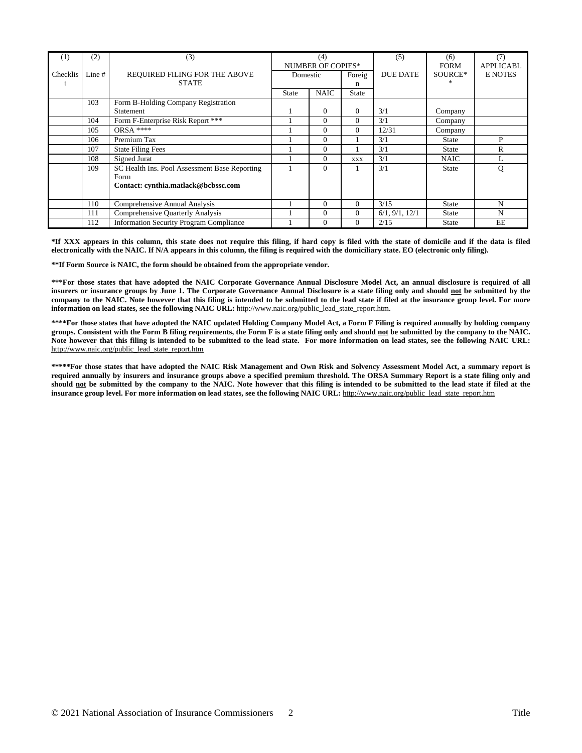| (1)                                                   | (2)                                     | (3)                                           | (4)                      |                    | (5)            | (6)             | (7)              |                |
|-------------------------------------------------------|-----------------------------------------|-----------------------------------------------|--------------------------|--------------------|----------------|-----------------|------------------|----------------|
|                                                       |                                         |                                               | <b>NUMBER OF COPIES*</b> |                    |                | <b>FORM</b>     | <b>APPLICABL</b> |                |
| Checklis                                              | Line $#$                                | REQUIRED FILING FOR THE ABOVE                 |                          | Foreig<br>Domestic |                | <b>DUE DATE</b> | SOURCE*          | <b>E NOTES</b> |
|                                                       |                                         | <b>STATE</b>                                  |                          | n                  |                |                 |                  |                |
|                                                       |                                         |                                               | <b>State</b>             | <b>NAIC</b>        | <b>State</b>   |                 |                  |                |
|                                                       | 103                                     | Form B-Holding Company Registration           |                          |                    |                |                 |                  |                |
|                                                       |                                         | Statement                                     |                          | $\mathbf{0}$       | $\overline{0}$ | 3/1             | Company          |                |
|                                                       | 104                                     | Form F-Enterprise Risk Report ***             |                          | 0                  | 0              | 3/1             | Company          |                |
|                                                       | 105                                     | $ORSA***$                                     |                          | 0                  | 0              | 12/31           | Company          |                |
|                                                       | 106                                     | Premium Tax                                   |                          | 0                  |                | 3/1             | State            | P              |
|                                                       | 107                                     | <b>State Filing Fees</b>                      |                          | 0                  |                | 3/1             | <b>State</b>     | R              |
|                                                       | Signed Jurat<br>108                     |                                               |                          | 0                  | <b>XXX</b>     | 3/1             | <b>NAIC</b>      | L              |
|                                                       | 109                                     | SC Health Ins. Pool Assessment Base Reporting |                          | 0                  |                | 3/1             | <b>State</b>     | Q              |
|                                                       |                                         | Form                                          |                          |                    |                |                 |                  |                |
|                                                       |                                         | Contact: cynthia.matlack@bcbssc.com           |                          |                    |                |                 |                  |                |
|                                                       |                                         |                                               |                          |                    |                |                 |                  |                |
|                                                       | 110                                     | Comprehensive Annual Analysis                 |                          | 0                  | 0              | 3/15            | <b>State</b>     | N              |
|                                                       | 111<br>Comprehensive Quarterly Analysis |                                               |                          | 0                  | 0              | 6/1, 9/1, 12/1  | <b>State</b>     | N              |
| 112<br><b>Information Security Program Compliance</b> |                                         |                                               | 0                        | 0                  | 2/15           | State           | EE               |                |

\*If XXX appears in this column, this state does not require this filing, if hard copy is filed with the state of domicile and if the data is filed **electronically with the NAIC. If N/A appears in this column, the filing is required with the domiciliary state. EO (electronic only filing).**

**\*\*If Form Source is NAIC, the form should be obtained from the appropriate vendor.**

\*\*\*For those states that have adopted the NAIC Corporate Governance Annual Disclosure Model Act, an annual disclosure is required of all insurers or insurance groups by June 1. The Corporate Governance Annual Disclosure is a state filing only and should not be submitted by the company to the NAIC. Note however that this filing is intended to be submitted to the lead state if filed at the insurance group level. For more **information on lead states, see the following NAIC URL:** [http://www.naic.org/public\\_lead\\_state\\_report.htm](http://www.naic.org/public_lead_state_report.htm).

\*\*\*\*For those states that have adopted the NAIC updated Holding Company Model Act, a Form F Filing is required annually by holding company groups. Consistent with the Form B filing requirements, the Form F is a state filing only and should not be submitted by the company to the NAIC. Note however that this filing is intended to be submitted to the lead state. For more information on lead states, see the following NAIC URL: [http://www.naic.org/public\\_lead\\_state\\_report.htm](http://www.naic.org/public_lead_state_report.htm)

\*\*\*\*\*For those states that have adopted the NAIC Risk Management and Own Risk and Solvency Assessment Model Act, a summary report is required annually by insurers and insurance groups above a specified premium threshold. The ORSA Summary Report is a state filing only and should not be submitted by the company to the NAIC. Note however that this filing is intended to be submitted to the lead state if filed at the **insurance group level. For more information on lead states, see the following NAIC URL:** [http://www.naic.org/public\\_lead\\_state\\_report.htm](http://www.naic.org/public_lead_state_report.htm)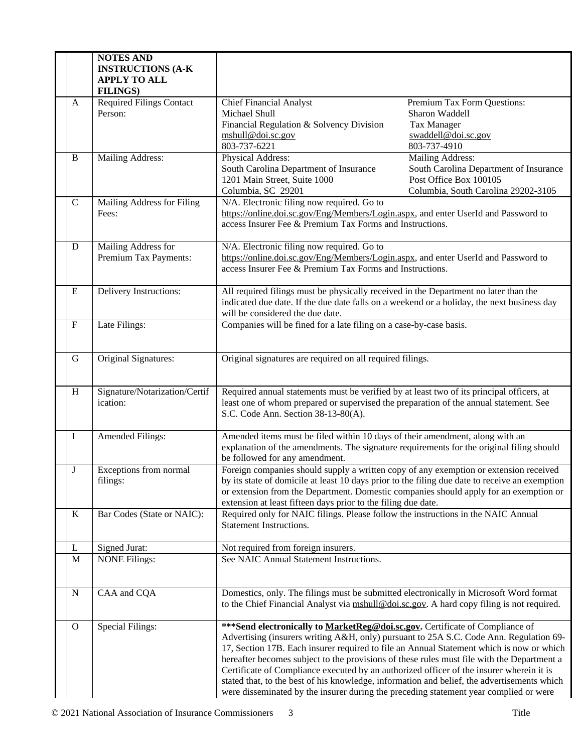|             | <b>NOTES AND</b><br><b>INSTRUCTIONS (A-K)</b><br><b>APPLY TO ALL</b><br><b>FILINGS)</b> |                                                                                                                                                                                                                                                                                                                                                                                                                                                                                                                                                                                                                                                       |                                                                                                                             |  |
|-------------|-----------------------------------------------------------------------------------------|-------------------------------------------------------------------------------------------------------------------------------------------------------------------------------------------------------------------------------------------------------------------------------------------------------------------------------------------------------------------------------------------------------------------------------------------------------------------------------------------------------------------------------------------------------------------------------------------------------------------------------------------------------|-----------------------------------------------------------------------------------------------------------------------------|--|
| A           | <b>Required Filings Contact</b><br>Person:                                              | <b>Chief Financial Analyst</b><br>Michael Shull<br>Financial Regulation & Solvency Division<br>mshull@doi.sc.gov<br>803-737-6221                                                                                                                                                                                                                                                                                                                                                                                                                                                                                                                      | Premium Tax Form Questions:<br>Sharon Waddell<br><b>Tax Manager</b><br>swaddell@doi.sc.gov<br>803-737-4910                  |  |
| B           | Mailing Address:                                                                        | Physical Address:<br>South Carolina Department of Insurance<br>1201 Main Street, Suite 1000<br>Columbia, SC 29201                                                                                                                                                                                                                                                                                                                                                                                                                                                                                                                                     | Mailing Address:<br>South Carolina Department of Insurance<br>Post Office Box 100105<br>Columbia, South Carolina 29202-3105 |  |
| $\mathbf C$ | Mailing Address for Filing<br>Fees:                                                     | N/A. Electronic filing now required. Go to<br>https://online.doi.sc.gov/Eng/Members/Login.aspx, and enter UserId and Password to<br>access Insurer Fee & Premium Tax Forms and Instructions.                                                                                                                                                                                                                                                                                                                                                                                                                                                          |                                                                                                                             |  |
| D           | Mailing Address for<br>Premium Tax Payments:                                            | N/A. Electronic filing now required. Go to<br>https://online.doi.sc.gov/Eng/Members/Login.aspx, and enter UserId and Password to<br>access Insurer Fee & Premium Tax Forms and Instructions.                                                                                                                                                                                                                                                                                                                                                                                                                                                          |                                                                                                                             |  |
| E           | Delivery Instructions:                                                                  | All required filings must be physically received in the Department no later than the<br>indicated due date. If the due date falls on a weekend or a holiday, the next business day<br>will be considered the due date.                                                                                                                                                                                                                                                                                                                                                                                                                                |                                                                                                                             |  |
| $F_{\rm}$   | Late Filings:                                                                           | Companies will be fined for a late filing on a case-by-case basis.                                                                                                                                                                                                                                                                                                                                                                                                                                                                                                                                                                                    |                                                                                                                             |  |
| G           | Original Signatures:                                                                    | Original signatures are required on all required filings.                                                                                                                                                                                                                                                                                                                                                                                                                                                                                                                                                                                             |                                                                                                                             |  |
| H           | Signature/Notarization/Certif<br>ication:                                               | Required annual statements must be verified by at least two of its principal officers, at<br>least one of whom prepared or supervised the preparation of the annual statement. See<br>S.C. Code Ann. Section 38-13-80(A).                                                                                                                                                                                                                                                                                                                                                                                                                             |                                                                                                                             |  |
| I           | Amended Filings:                                                                        | Amended items must be filed within 10 days of their amendment, along with an<br>explanation of the amendments. The signature requirements for the original filing should<br>be followed for any amendment.                                                                                                                                                                                                                                                                                                                                                                                                                                            |                                                                                                                             |  |
| J           | Exceptions from normal<br>filings:                                                      | Foreign companies should supply a written copy of any exemption or extension received<br>by its state of domicile at least 10 days prior to the filing due date to receive an exemption<br>or extension from the Department. Domestic companies should apply for an exemption or<br>extension at least fifteen days prior to the filing due date.                                                                                                                                                                                                                                                                                                     |                                                                                                                             |  |
| K           | Bar Codes (State or NAIC):                                                              | Required only for NAIC filings. Please follow the instructions in the NAIC Annual<br><b>Statement Instructions.</b>                                                                                                                                                                                                                                                                                                                                                                                                                                                                                                                                   |                                                                                                                             |  |
| L           | Signed Jurat:                                                                           | Not required from foreign insurers.                                                                                                                                                                                                                                                                                                                                                                                                                                                                                                                                                                                                                   |                                                                                                                             |  |
| M           | <b>NONE Filings:</b>                                                                    | See NAIC Annual Statement Instructions.                                                                                                                                                                                                                                                                                                                                                                                                                                                                                                                                                                                                               |                                                                                                                             |  |
| N           | CAA and CQA                                                                             | Domestics, only. The filings must be submitted electronically in Microsoft Word format<br>to the Chief Financial Analyst via mshull@doi.sc.gov. A hard copy filing is not required.                                                                                                                                                                                                                                                                                                                                                                                                                                                                   |                                                                                                                             |  |
| $\Omega$    | Special Filings:                                                                        | *** Send electronically to MarketReg@doi.sc.gov. Certificate of Compliance of<br>Advertising (insurers writing A&H, only) pursuant to 25A S.C. Code Ann. Regulation 69-<br>17, Section 17B. Each insurer required to file an Annual Statement which is now or which<br>hereafter becomes subject to the provisions of these rules must file with the Department a<br>Certificate of Compliance executed by an authorized officer of the insurer wherein it is<br>stated that, to the best of his knowledge, information and belief, the advertisements which<br>were disseminated by the insurer during the preceding statement year complied or were |                                                                                                                             |  |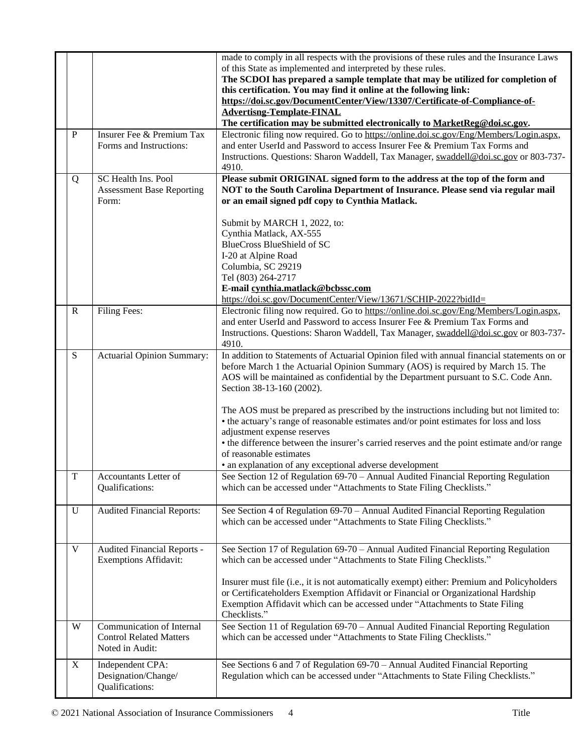|                         |                                                                                | made to comply in all respects with the provisions of these rules and the Insurance Laws<br>of this State as implemented and interpreted by these rules.<br>The SCDOI has prepared a sample template that may be utilized for completion of<br>this certification. You may find it online at the following link:<br>https://doi.sc.gov/DocumentCenter/View/13307/Certificate-of-Compliance-of-<br><b>Advertisng-Template-FINAL</b><br>The certification may be submitted electronically to MarketReg@doi.sc.gov.                                                                                                                                                                                             |
|-------------------------|--------------------------------------------------------------------------------|--------------------------------------------------------------------------------------------------------------------------------------------------------------------------------------------------------------------------------------------------------------------------------------------------------------------------------------------------------------------------------------------------------------------------------------------------------------------------------------------------------------------------------------------------------------------------------------------------------------------------------------------------------------------------------------------------------------|
| P                       | Insurer Fee & Premium Tax<br>Forms and Instructions:                           | Electronic filing now required. Go to https://online.doi.sc.gov/Eng/Members/Login.aspx,<br>and enter UserId and Password to access Insurer Fee & Premium Tax Forms and<br>Instructions. Questions: Sharon Waddell, Tax Manager, swaddell@doi.sc.gov or 803-737-<br>4910.                                                                                                                                                                                                                                                                                                                                                                                                                                     |
| Q                       | SC Health Ins. Pool<br><b>Assessment Base Reporting</b><br>Form:               | Please submit ORIGINAL signed form to the address at the top of the form and<br>NOT to the South Carolina Department of Insurance. Please send via regular mail<br>or an email signed pdf copy to Cynthia Matlack.                                                                                                                                                                                                                                                                                                                                                                                                                                                                                           |
|                         |                                                                                | Submit by MARCH 1, 2022, to:<br>Cynthia Matlack, AX-555<br><b>BlueCross BlueShield of SC</b><br>I-20 at Alpine Road<br>Columbia, SC 29219<br>Tel (803) 264-2717<br>E-mail cynthia.matlack@bcbssc.com<br>https://doi.sc.gov/DocumentCenter/View/13671/SCHIP-2022?bidId=                                                                                                                                                                                                                                                                                                                                                                                                                                       |
| R                       | Filing Fees:                                                                   | Electronic filing now required. Go to https://online.doi.sc.gov/Eng/Members/Login.aspx,<br>and enter UserId and Password to access Insurer Fee & Premium Tax Forms and<br>Instructions. Questions: Sharon Waddell, Tax Manager, swaddell@doi.sc.gov or 803-737-<br>4910.                                                                                                                                                                                                                                                                                                                                                                                                                                     |
| S                       | Actuarial Opinion Summary:                                                     | In addition to Statements of Actuarial Opinion filed with annual financial statements on or<br>before March 1 the Actuarial Opinion Summary (AOS) is required by March 15. The<br>AOS will be maintained as confidential by the Department pursuant to S.C. Code Ann.<br>Section 38-13-160 (2002).<br>The AOS must be prepared as prescribed by the instructions including but not limited to:<br>• the actuary's range of reasonable estimates and/or point estimates for loss and loss<br>adjustment expense reserves<br>• the difference between the insurer's carried reserves and the point estimate and/or range<br>of reasonable estimates<br>• an explanation of any exceptional adverse development |
| $\overline{\mathrm{T}}$ | Accountants Letter of<br>Qualifications:                                       | See Section 12 of Regulation 69-70 - Annual Audited Financial Reporting Regulation<br>which can be accessed under "Attachments to State Filing Checklists."                                                                                                                                                                                                                                                                                                                                                                                                                                                                                                                                                  |
| U                       | <b>Audited Financial Reports:</b>                                              | See Section 4 of Regulation 69-70 - Annual Audited Financial Reporting Regulation<br>which can be accessed under "Attachments to State Filing Checklists."                                                                                                                                                                                                                                                                                                                                                                                                                                                                                                                                                   |
| V                       | Audited Financial Reports -<br><b>Exemptions Affidavit:</b>                    | See Section 17 of Regulation 69-70 - Annual Audited Financial Reporting Regulation<br>which can be accessed under "Attachments to State Filing Checklists."<br>Insurer must file (i.e., it is not automatically exempt) either: Premium and Policyholders<br>or Certificateholders Exemption Affidavit or Financial or Organizational Hardship<br>Exemption Affidavit which can be accessed under "Attachments to State Filing<br>Checklists."                                                                                                                                                                                                                                                               |
| W                       | Communication of Internal<br><b>Control Related Matters</b><br>Noted in Audit: | See Section 11 of Regulation 69-70 - Annual Audited Financial Reporting Regulation<br>which can be accessed under "Attachments to State Filing Checklists."                                                                                                                                                                                                                                                                                                                                                                                                                                                                                                                                                  |
| X                       | Independent CPA:<br>Designation/Change/<br>Qualifications:                     | See Sections 6 and 7 of Regulation 69-70 - Annual Audited Financial Reporting<br>Regulation which can be accessed under "Attachments to State Filing Checklists."                                                                                                                                                                                                                                                                                                                                                                                                                                                                                                                                            |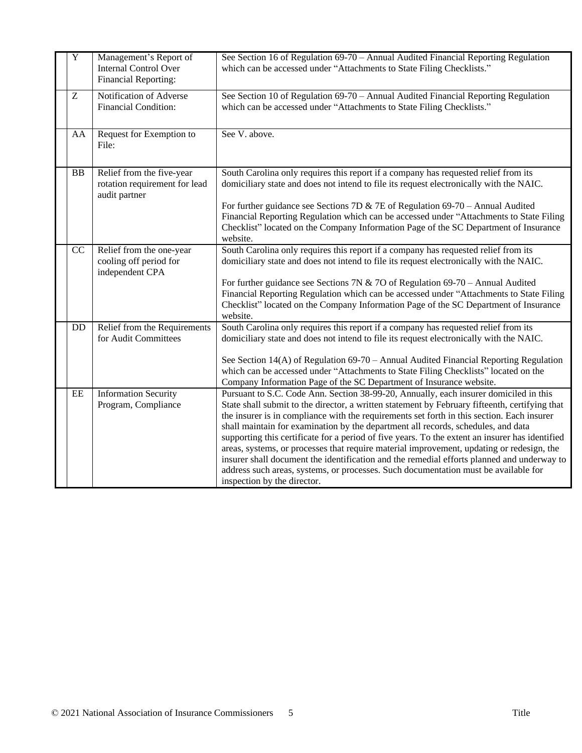| $\overline{Y}$ | Management's Report of<br><b>Internal Control Over</b><br>Financial Reporting: | See Section 16 of Regulation 69-70 – Annual Audited Financial Reporting Regulation<br>which can be accessed under "Attachments to State Filing Checklists."                                                                                                                                                                                                                                                                                                                                                                                                                                                                                                                                                                                                                                    |
|----------------|--------------------------------------------------------------------------------|------------------------------------------------------------------------------------------------------------------------------------------------------------------------------------------------------------------------------------------------------------------------------------------------------------------------------------------------------------------------------------------------------------------------------------------------------------------------------------------------------------------------------------------------------------------------------------------------------------------------------------------------------------------------------------------------------------------------------------------------------------------------------------------------|
| Z              | Notification of Adverse<br><b>Financial Condition:</b>                         | See Section 10 of Regulation 69-70 - Annual Audited Financial Reporting Regulation<br>which can be accessed under "Attachments to State Filing Checklists."                                                                                                                                                                                                                                                                                                                                                                                                                                                                                                                                                                                                                                    |
| AA             | Request for Exemption to<br>File:                                              | See V. above.                                                                                                                                                                                                                                                                                                                                                                                                                                                                                                                                                                                                                                                                                                                                                                                  |
| <b>BB</b>      | Relief from the five-year<br>rotation requirement for lead<br>audit partner    | South Carolina only requires this report if a company has requested relief from its<br>domiciliary state and does not intend to file its request electronically with the NAIC.<br>For further guidance see Sections 7D & 7E of Regulation $69-70$ – Annual Audited<br>Financial Reporting Regulation which can be accessed under "Attachments to State Filing<br>Checklist" located on the Company Information Page of the SC Department of Insurance<br>website.                                                                                                                                                                                                                                                                                                                              |
| CC             | Relief from the one-year<br>cooling off period for<br>independent CPA          | South Carolina only requires this report if a company has requested relief from its<br>domiciliary state and does not intend to file its request electronically with the NAIC.<br>For further guidance see Sections 7N & 7O of Regulation 69-70 - Annual Audited<br>Financial Reporting Regulation which can be accessed under "Attachments to State Filing<br>Checklist" located on the Company Information Page of the SC Department of Insurance<br>website.                                                                                                                                                                                                                                                                                                                                |
| <b>DD</b>      | Relief from the Requirements<br>for Audit Committees                           | South Carolina only requires this report if a company has requested relief from its<br>domiciliary state and does not intend to file its request electronically with the NAIC.<br>See Section 14(A) of Regulation 69-70 - Annual Audited Financial Reporting Regulation<br>which can be accessed under "Attachments to State Filing Checklists" located on the<br>Company Information Page of the SC Department of Insurance website.                                                                                                                                                                                                                                                                                                                                                          |
| EE             | <b>Information Security</b><br>Program, Compliance                             | Pursuant to S.C. Code Ann. Section 38-99-20, Annually, each insurer domiciled in this<br>State shall submit to the director, a written statement by February fifteenth, certifying that<br>the insurer is in compliance with the requirements set forth in this section. Each insurer<br>shall maintain for examination by the department all records, schedules, and data<br>supporting this certificate for a period of five years. To the extent an insurer has identified<br>areas, systems, or processes that require material improvement, updating or redesign, the<br>insurer shall document the identification and the remedial efforts planned and underway to<br>address such areas, systems, or processes. Such documentation must be available for<br>inspection by the director. |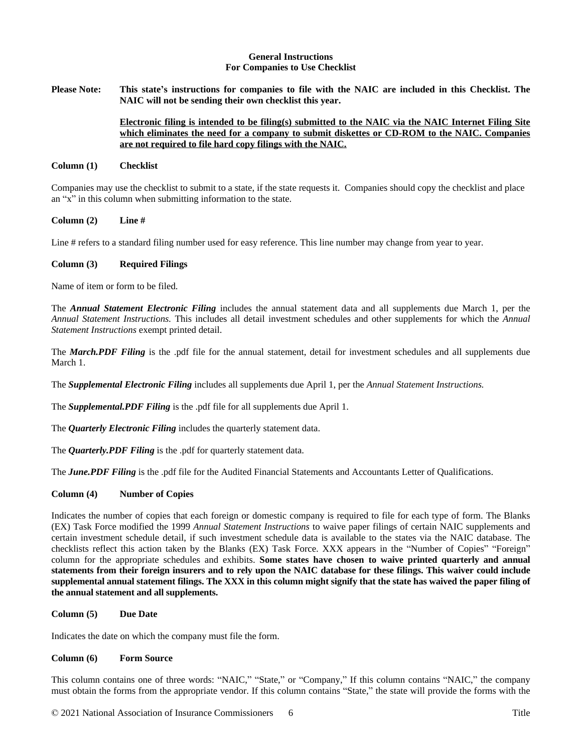#### **General Instructions For Companies to Use Checklist**

Please Note: This state's instructions for companies to file with the NAIC are included in this Checklist. The **NAIC will not be sending their own checklist this year.** 

# **Electronic filing is intended to be filing(s) submitted to the NAIC via the NAIC Internet Filing Site which eliminates the need for a company to submit diskettes or CD-ROM to the NAIC. Companies are not required to file hard copy filings with the NAIC.**

### **Column (1) Checklist**

Companies may use the checklist to submit to a state, if the state requests it. Companies should copy the checklist and place an "x" in this column when submitting information to the state.

### **Column (2) Line #**

Line # refers to a standard filing number used for easy reference. This line number may change from year to year.

### **Column (3) Required Filings**

Name of item or form to be filed.

The *Annual Statement Electronic Filing* includes the annual statement data and all supplements due March 1, per the *Annual Statement Instructions.* This includes all detail investment schedules and other supplements for which the *Annual Statement Instructions* exempt printed detail.

The *March.PDF Filing* is the .pdf file for the annual statement, detail for investment schedules and all supplements due March 1.

The *Supplemental Electronic Filing* includes all supplements due April 1, per the *Annual Statement Instructions.*

The *Supplemental.PDF Filing* is the .pdf file for all supplements due April 1.

The *Quarterly Electronic Filing* includes the quarterly statement data.

The *Quarterly.PDF Filing* is the .pdf for quarterly statement data.

The *June.PDF Filing* is the .pdf file for the Audited Financial Statements and Accountants Letter of Qualifications.

## **Column (4) Number of Copies**

Indicates the number of copies that each foreign or domestic company is required to file for each type of form. The Blanks (EX) Task Force modified the 1999 *Annual Statement Instructions* to waive paper filings of certain NAIC supplements and certain investment schedule detail, if such investment schedule data is available to the states via the NAIC database. The checklists reflect this action taken by the Blanks (EX) Task Force. XXX appears in the "Number of Copies" "Foreign" column for the appropriate schedules and exhibits. **Some states have chosen to waive printed quarterly and annual** statements from their foreign insurers and to rely upon the NAIC database for these filings. This waiver could include supplemental annual statement filings. The XXX in this column might signify that the state has waived the paper filing of **the annual statement and all supplements.**

## **Column (5) Due Date**

Indicates the date on which the company must file the form.

#### **Column (6) Form Source**

This column contains one of three words: "NAIC," "State," or "Company," If this column contains "NAIC," the company must obtain the forms from the appropriate vendor. If this column contains "State," the state will provide the forms with the